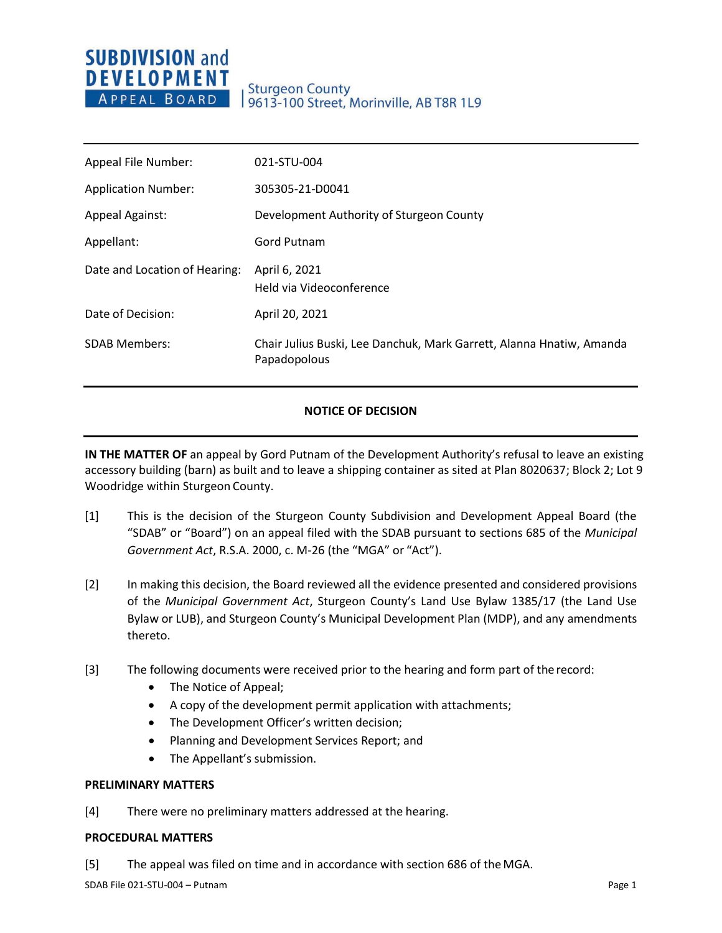# **SUBDIVISION and DEVELOPMENT** APPEAL BOARD

## **Sturgeon County** 9613-100 Street, Morinville, AB T8R 1L9

| Appeal File Number:           | 021-STU-004                                                                          |
|-------------------------------|--------------------------------------------------------------------------------------|
| <b>Application Number:</b>    | 305305-21-D0041                                                                      |
| <b>Appeal Against:</b>        | Development Authority of Sturgeon County                                             |
| Appellant:                    | Gord Putnam                                                                          |
| Date and Location of Hearing: | April 6, 2021<br>Held via Videoconference                                            |
| Date of Decision:             | April 20, 2021                                                                       |
| <b>SDAB Members:</b>          | Chair Julius Buski, Lee Danchuk, Mark Garrett, Alanna Hnatiw, Amanda<br>Papadopolous |

### **NOTICE OF DECISION**

**IN THE MATTER OF** an appeal by Gord Putnam of the Development Authority's refusal to leave an existing accessory building (barn) as built and to leave a shipping container as sited at Plan 8020637; Block 2; Lot 9 Woodridge within Sturgeon County.

- [1] This is the decision of the Sturgeon County Subdivision and Development Appeal Board (the "SDAB" or "Board") on an appeal filed with the SDAB pursuant to sections 685 of the *Municipal Government Act*, R.S.A. 2000, c. M-26 (the "MGA" or "Act").
- [2] In making this decision, the Board reviewed all the evidence presented and considered provisions of the *Municipal Government Act*, Sturgeon County's Land Use Bylaw 1385/17 (the Land Use Bylaw or LUB), and Sturgeon County's Municipal Development Plan (MDP), and any amendments thereto.
- [3] The following documents were received prior to the hearing and form part of the record:
	- The Notice of Appeal;
	- A copy of the development permit application with attachments;
	- The Development Officer's written decision;
	- Planning and Development Services Report; and
	- The Appellant's submission.

#### **PRELIMINARY MATTERS**

[4] There were no preliminary matters addressed at the hearing.

#### **PROCEDURAL MATTERS**

[5] The appeal was filed on time and in accordance with section 686 of theMGA.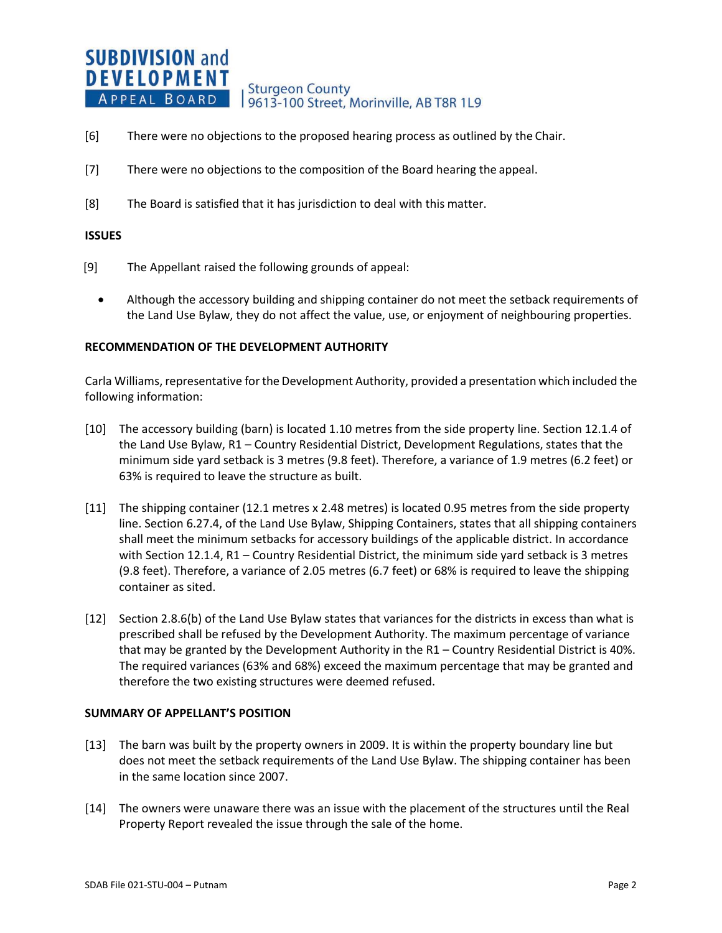#### **SUBDIVISION and DEVELOPMENT Sturgeon County** APPEAL BOARD 19613-100 Street, Morinville, AB T8R 1L9

- [6] There were no objections to the proposed hearing process as outlined by the Chair.
- [7] There were no objections to the composition of the Board hearing the appeal.
- [8] The Board is satisfied that it has jurisdiction to deal with this matter.

#### **ISSUES**

- [9] The Appellant raised the following grounds of appeal:
	- Although the accessory building and shipping container do not meet the setback requirements of the Land Use Bylaw, they do not affect the value, use, or enjoyment of neighbouring properties.

#### **RECOMMENDATION OF THE DEVELOPMENT AUTHORITY**

Carla Williams, representative for the Development Authority, provided a presentation which included the following information:

- [10] The accessory building (barn) is located 1.10 metres from the side property line. Section 12.1.4 of the Land Use Bylaw, R1 – Country Residential District, Development Regulations, states that the minimum side yard setback is 3 metres (9.8 feet). Therefore, a variance of 1.9 metres (6.2 feet) or 63% is required to leave the structure as built.
- [11] The shipping container (12.1 metres x 2.48 metres) is located 0.95 metres from the side property line. Section 6.27.4, of the Land Use Bylaw, Shipping Containers, states that all shipping containers shall meet the minimum setbacks for accessory buildings of the applicable district. In accordance with Section 12.1.4, R1 – Country Residential District, the minimum side yard setback is 3 metres (9.8 feet). Therefore, a variance of 2.05 metres (6.7 feet) or 68% is required to leave the shipping container as sited.
- [12] Section 2.8.6(b) of the Land Use Bylaw states that variances for the districts in excess than what is prescribed shall be refused by the Development Authority. The maximum percentage of variance that may be granted by the Development Authority in the R1 – Country Residential District is 40%. The required variances (63% and 68%) exceed the maximum percentage that may be granted and therefore the two existing structures were deemed refused.

#### **SUMMARY OF APPELLANT'S POSITION**

- [13] The barn was built by the property owners in 2009. It is within the property boundary line but does not meet the setback requirements of the Land Use Bylaw. The shipping container has been in the same location since 2007.
- [14] The owners were unaware there was an issue with the placement of the structures until the Real Property Report revealed the issue through the sale of the home.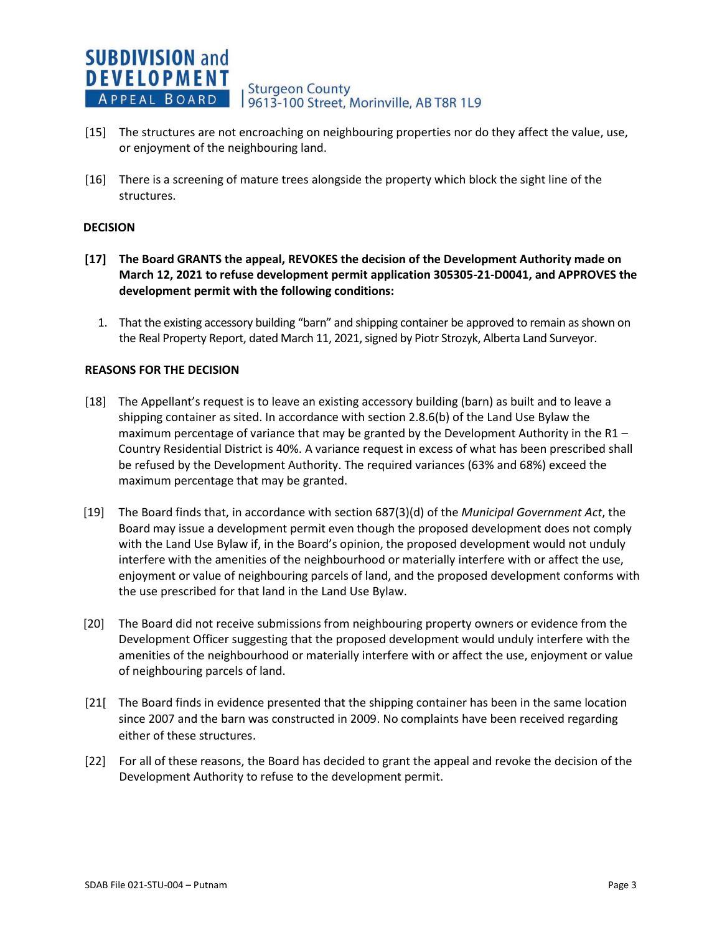

- [15] The structures are not encroaching on neighbouring properties nor do they affect the value, use, or enjoyment of the neighbouring land.
- [16] There is a screening of mature trees alongside the property which block the sight line of the structures.

#### **DECISION**

- **[17] The Board GRANTS the appeal, REVOKES the decision of the Development Authority made on March 12, 2021 to refuse development permit application 305305-21-D0041, and APPROVES the development permit with the following conditions:**
	- 1. That the existing accessory building "barn" and shipping container be approved to remain as shown on the Real Property Report, dated March 11, 2021, signed by Piotr Strozyk, Alberta Land Surveyor.

#### **REASONS FOR THE DECISION**

- [18] The Appellant's request is to leave an existing accessory building (barn) as built and to leave a shipping container as sited. In accordance with section 2.8.6(b) of the Land Use Bylaw the maximum percentage of variance that may be granted by the Development Authority in the R1 – Country Residential District is 40%. A variance request in excess of what has been prescribed shall be refused by the Development Authority. The required variances (63% and 68%) exceed the maximum percentage that may be granted.
- [19] The Board finds that, in accordance with section 687(3)(d) of the *Municipal Government Act*, the Board may issue a development permit even though the proposed development does not comply with the Land Use Bylaw if, in the Board's opinion, the proposed development would not unduly interfere with the amenities of the neighbourhood or materially interfere with or affect the use, enjoyment or value of neighbouring parcels of land, and the proposed development conforms with the use prescribed for that land in the Land Use Bylaw.
- [20] The Board did not receive submissions from neighbouring property owners or evidence from the Development Officer suggesting that the proposed development would unduly interfere with the amenities of the neighbourhood or materially interfere with or affect the use, enjoyment or value of neighbouring parcels of land.
- [21[ The Board finds in evidence presented that the shipping container has been in the same location since 2007 and the barn was constructed in 2009. No complaints have been received regarding either of these structures.
- [22] For all of these reasons, the Board has decided to grant the appeal and revoke the decision of the Development Authority to refuse to the development permit.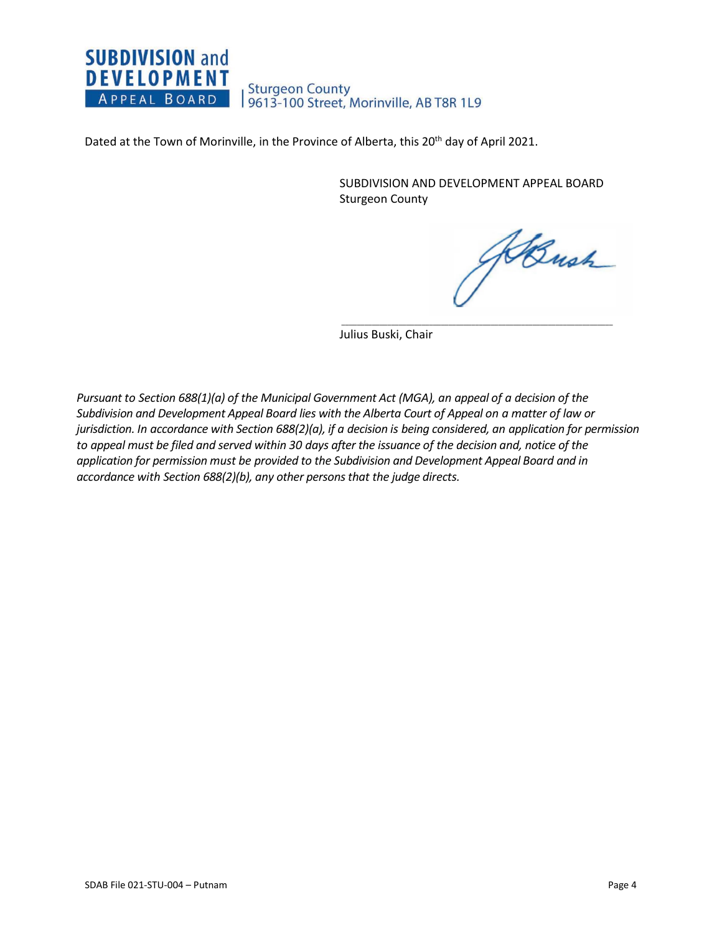## **SUBDIVISION and DEVELOPMENT** Sturgeon County<br>| 9613-100 Street, Morinville, AB T8R 1L9 APPEAL BOARD

Dated at the Town of Morinville, in the Province of Alberta, this 20<sup>th</sup> day of April 2021.

SUBDIVISION AND DEVELOPMENT APPEAL BOARD Sturgeon County

 $\overline{\phantom{a}}$  , and the contribution of the contribution of the contribution of the contribution of the contribution of the contribution of the contribution of the contribution of the contribution of the contribution of the

Bush

Julius Buski, Chair

*Pursuant to Section 688(1)(a) of the Municipal Government Act (MGA), an appeal of a decision of the Subdivision and Development Appeal Board lies with the Alberta Court of Appeal on a matter of law or jurisdiction. In accordance with Section 688(2)(a), if a decision is being considered, an application for permission to appeal must be filed and served within 30 days after the issuance of the decision and, notice of the application for permission must be provided to the Subdivision and Development Appeal Board and in accordance with Section 688(2)(b), any other persons that the judge directs.*